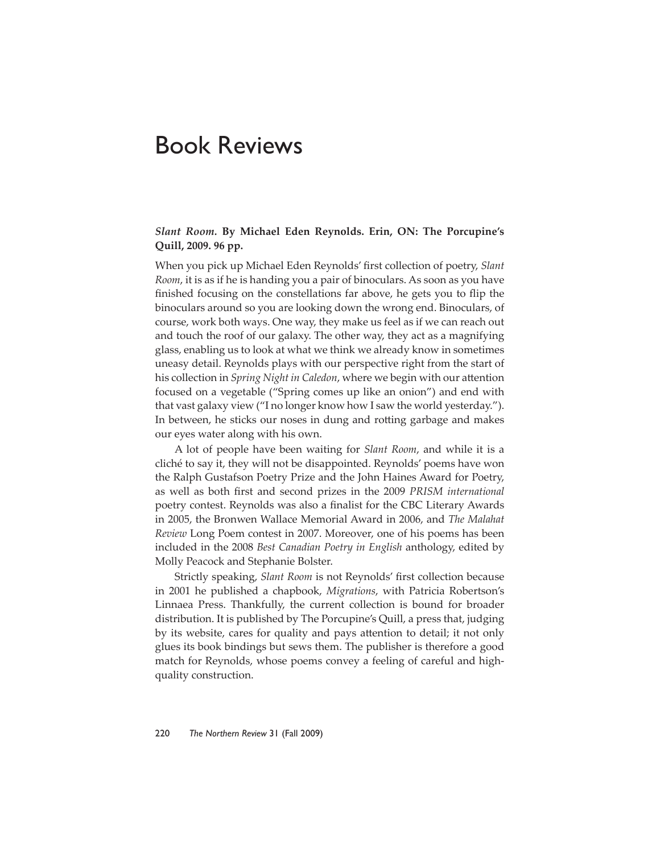## Book Reviews

## *Slant Room.* **By Michael Eden Reynolds. Erin, ON: The Porcupine's Quill, 2009. 96 pp.**

When you pick up Michael Eden Reynolds' first collection of poetry, *Slant Room*, it is as if he is handing you a pair of binoculars. As soon as you have finished focusing on the constellations far above, he gets you to flip the binoculars around so you are looking down the wrong end. Binoculars, of course, work both ways. One way, they make us feel as if we can reach out and touch the roof of our galaxy. The other way, they act as a magnifying glass, enabling us to look at what we think we already know in sometimes uneasy detail. Reynolds plays with our perspective right from the start of his collection in *Spring Night in Caledon*, where we begin with our attention focused on a vegetable ("Spring comes up like an onion") and end with that vast galaxy view ("I no longer know how I saw the world yesterday."). In between, he sticks our noses in dung and rotting garbage and makes our eyes water along with his own.

A lot of people have been waiting for *Slant Room*, and while it is a cliché to say it, they will not be disappointed. Reynolds' poems have won the Ralph Gustafson Poetry Prize and the John Haines Award for Poetry, as well as both first and second prizes in the 2009 *PRISM international* poetry contest. Reynolds was also a finalist for the CBC Literary Awards in 2005, the Bronwen Wallace Memorial Award in 2006, and *The Malahat Review* Long Poem contest in 2007. Moreover, one of his poems has been included in the 2008 *Best Canadian Poetry in English* anthology, edited by Molly Peacock and Stephanie Bolster.

Strictly speaking, *Slant Room* is not Reynolds' first collection because in 2001 he published a chapbook, *Migrations*, with Patricia Robertson's Linnaea Press. Thankfully, the current collection is bound for broader distribution. It is published by The Porcupine's Quill, a press that, judging by its website, cares for quality and pays attention to detail; it not only glues its book bindings but sews them. The publisher is therefore a good match for Reynolds, whose poems convey a feeling of careful and highquality construction.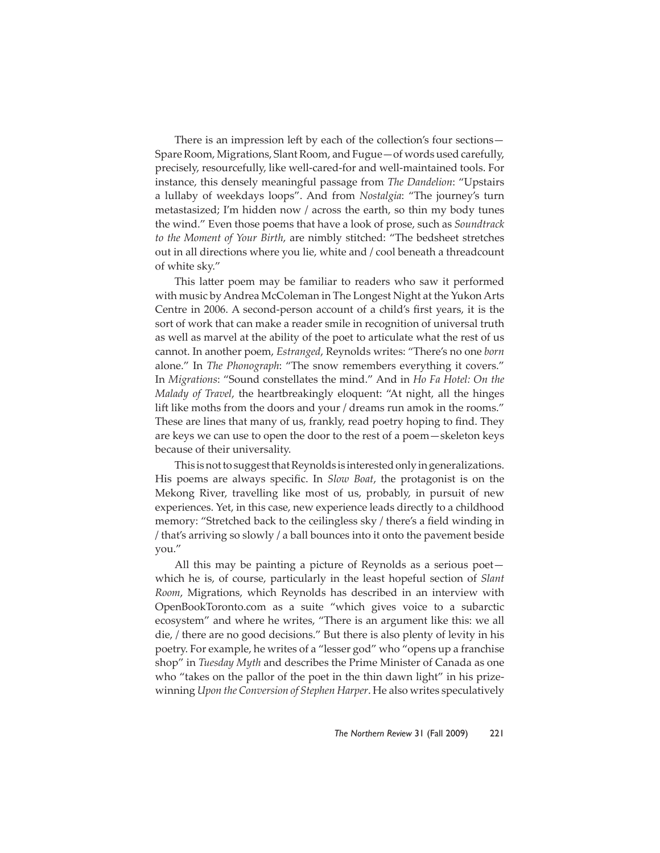There is an impression left by each of the collection's four sections— Spare Room, Migrations, Slant Room, and Fugue—of words used carefully, precisely, resourcefully, like well-cared-for and well-maintained tools. For instance, this densely meaningful passage from *The Dandelion*: "Upstairs a lullaby of weekdays loops". And from *Nostalgia*: "The journey's turn metastasized; I'm hidden now / across the earth, so thin my body tunes the wind." Even those poems that have a look of prose, such as *Soundtrack to the Moment of Your Birth*, are nimbly stitched: "The bedsheet stretches out in all directions where you lie, white and / cool beneath a threadcount of white sky."

This latter poem may be familiar to readers who saw it performed with music by Andrea McColeman in The Longest Night at the Yukon Arts Centre in 2006. A second-person account of a child's first years, it is the sort of work that can make a reader smile in recognition of universal truth as well as marvel at the ability of the poet to articulate what the rest of us cannot. In another poem, *Estranged*, Reynolds writes: "There's no one *born* alone." In *The Phonograph*: "The snow remembers everything it covers." In *Migrations*: "Sound constellates the mind." And in *Ho Fa Hotel: On the Malady of Travel*, the heartbreakingly eloquent: "At night, all the hinges lift like moths from the doors and your / dreams run amok in the rooms." These are lines that many of us, frankly, read poetry hoping to find. They are keys we can use to open the door to the rest of a poem—skeleton keys because of their universality.

This is not to suggest that Reynolds is interested only in generalizations. His poems are always specific. In *Slow Boat*, the protagonist is on the Mekong River, travelling like most of us, probably, in pursuit of new experiences. Yet, in this case, new experience leads directly to a childhood memory: "Stretched back to the ceilingless sky / there's a field winding in / that's arriving so slowly / a ball bounces into it onto the pavement beside you."

All this may be painting a picture of Reynolds as a serious poet which he is, of course, particularly in the least hopeful section of *Slant Room*, Migrations, which Reynolds has described in an interview with OpenBookToronto.com as a suite "which gives voice to a subarctic ecosystem" and where he writes, "There is an argument like this: we all die, / there are no good decisions." But there is also plenty of levity in his poetry. For example, he writes of a "lesser god" who "opens up a franchise shop" in *Tuesday Myth* and describes the Prime Minister of Canada as one who "takes on the pallor of the poet in the thin dawn light" in his prizewinning *Upon the Conversion of Stephen Harper*. He also writes speculatively